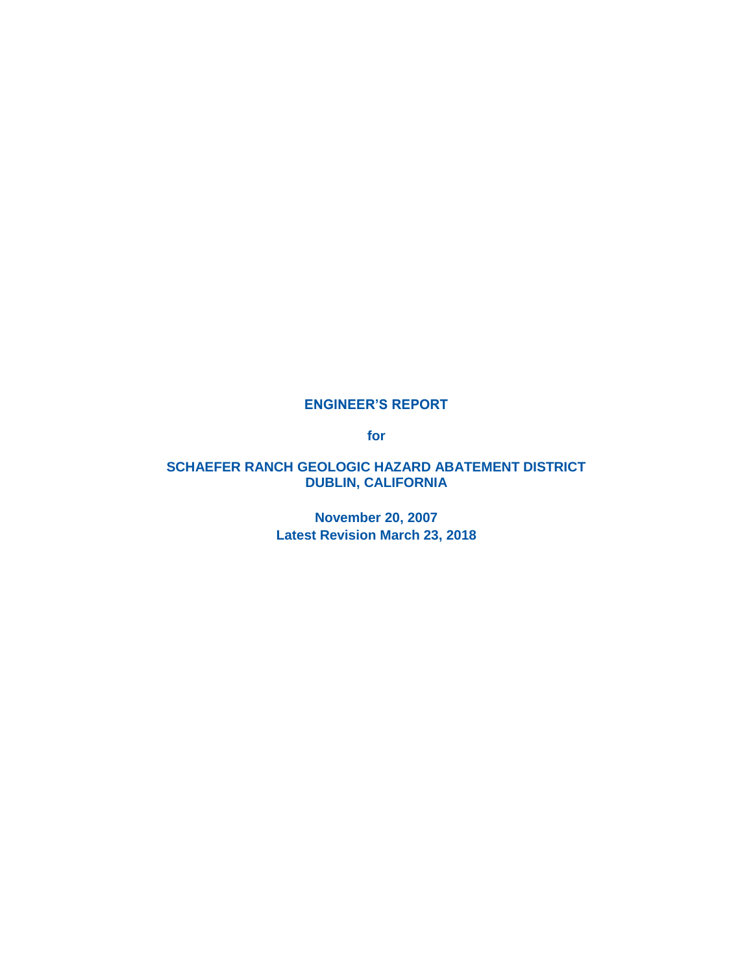#### **ENGINEER'S REPORT**

**for**

### **SCHAEFER RANCH GEOLOGIC HAZARD ABATEMENT DISTRICT DUBLIN, CALIFORNIA**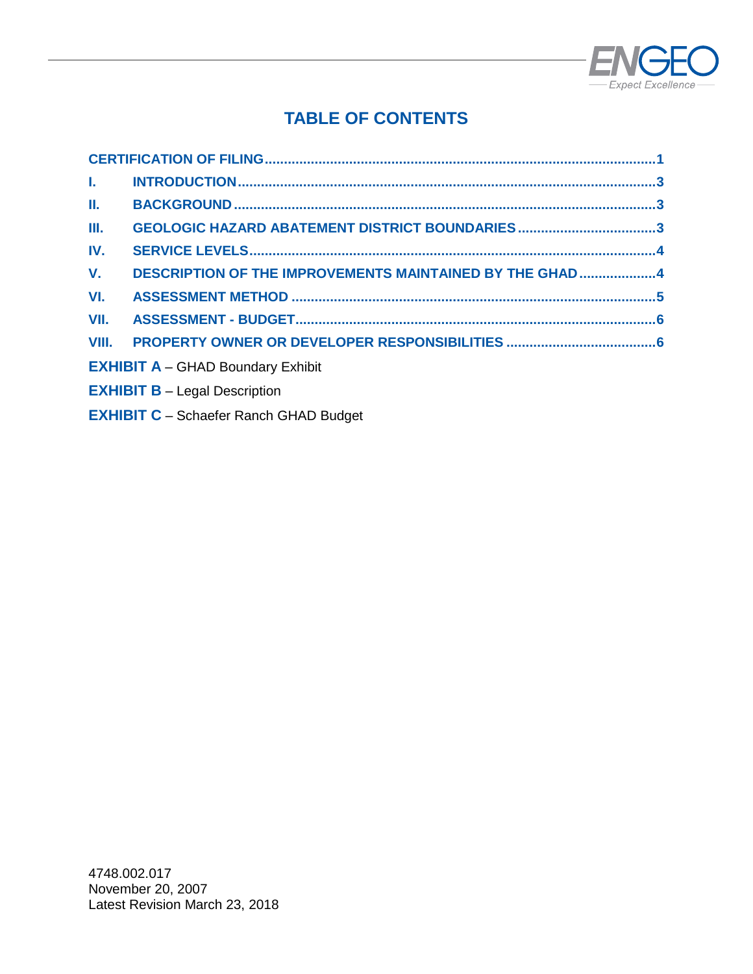

# **TABLE OF CONTENTS**

| Ш.                                            |                                                          |  |  |  |
|-----------------------------------------------|----------------------------------------------------------|--|--|--|
| Ш.                                            | GEOLOGIC HAZARD ABATEMENT DISTRICT BOUNDARIES3           |  |  |  |
| IV.                                           |                                                          |  |  |  |
| V.                                            | DESCRIPTION OF THE IMPROVEMENTS MAINTAINED BY THE GHAD 4 |  |  |  |
| VI.                                           |                                                          |  |  |  |
| VII.                                          |                                                          |  |  |  |
|                                               |                                                          |  |  |  |
|                                               | <b>EXHIBIT A - GHAD Boundary Exhibit</b>                 |  |  |  |
|                                               | <b>EXHIBIT B - Legal Description</b>                     |  |  |  |
| <b>EXHIBIT C</b> - Schaefer Ranch GHAD Budget |                                                          |  |  |  |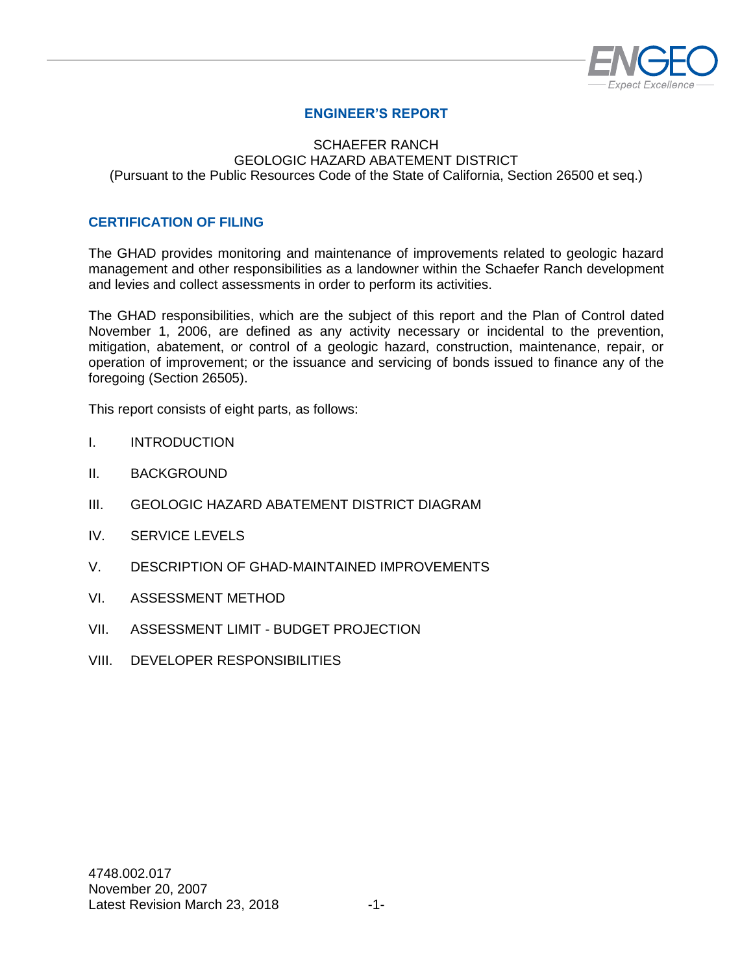

# **ENGINEER'S REPORT**

#### SCHAEFER RANCH GEOLOGIC HAZARD ABATEMENT DISTRICT (Pursuant to the Public Resources Code of the State of California, Section 26500 et seq.)

#### <span id="page-2-0"></span>**CERTIFICATION OF FILING**

The GHAD provides monitoring and maintenance of improvements related to geologic hazard management and other responsibilities as a landowner within the Schaefer Ranch development and levies and collect assessments in order to perform its activities.

The GHAD responsibilities, which are the subject of this report and the Plan of Control dated November 1, 2006, are defined as any activity necessary or incidental to the prevention, mitigation, abatement, or control of a geologic hazard, construction, maintenance, repair, or operation of improvement; or the issuance and servicing of bonds issued to finance any of the foregoing (Section 26505).

This report consists of eight parts, as follows:

- I. INTRODUCTION
- II. BACKGROUND
- III. GEOLOGIC HAZARD ABATEMENT DISTRICT DIAGRAM
- IV. SERVICE LEVELS
- V. DESCRIPTION OF GHAD-MAINTAINED IMPROVEMENTS
- VI. ASSESSMENT METHOD
- VII. ASSESSMENT LIMIT BUDGET PROJECTION
- VIII. DEVELOPER RESPONSIBILITIES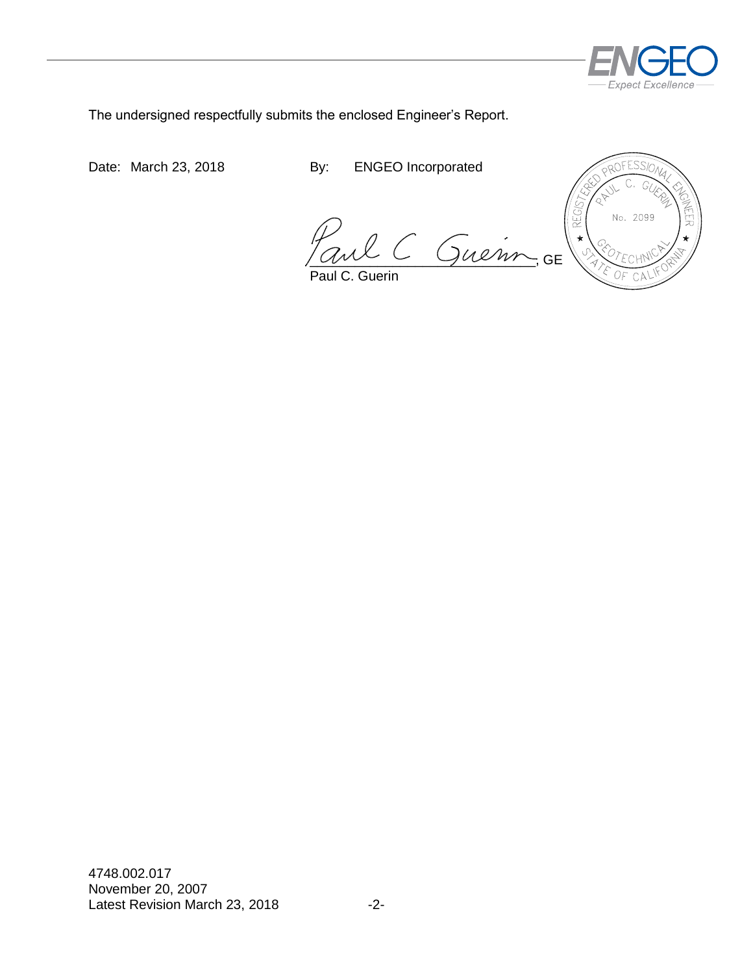

The undersigned respectfully submits the enclosed Engineer's Report.

Date: March 23, 2018 By: ENGEO Incorporated

Paul C Guenn, GE

Paul C. Guerin

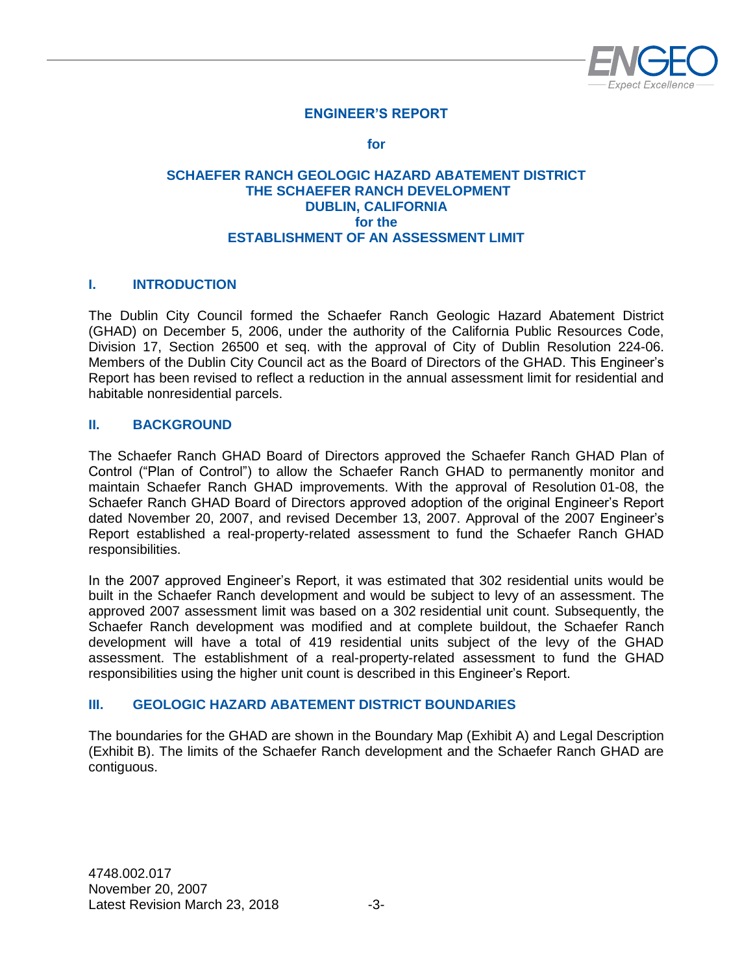

# **ENGINEER'S REPORT**

**for**

#### **SCHAEFER RANCH GEOLOGIC HAZARD ABATEMENT DISTRICT THE SCHAEFER RANCH DEVELOPMENT DUBLIN, CALIFORNIA for the ESTABLISHMENT OF AN ASSESSMENT LIMIT**

#### <span id="page-4-0"></span>**I. INTRODUCTION**

The Dublin City Council formed the Schaefer Ranch Geologic Hazard Abatement District (GHAD) on December 5, 2006, under the authority of the California Public Resources Code, Division 17, Section 26500 et seq. with the approval of City of Dublin Resolution 224-06. Members of the Dublin City Council act as the Board of Directors of the GHAD. This Engineer's Report has been revised to reflect a reduction in the annual assessment limit for residential and habitable nonresidential parcels.

#### <span id="page-4-1"></span>**II. BACKGROUND**

The Schaefer Ranch GHAD Board of Directors approved the Schaefer Ranch GHAD Plan of Control ("Plan of Control") to allow the Schaefer Ranch GHAD to permanently monitor and maintain Schaefer Ranch GHAD improvements. With the approval of Resolution 01-08, the Schaefer Ranch GHAD Board of Directors approved adoption of the original Engineer's Report dated November 20, 2007, and revised December 13, 2007. Approval of the 2007 Engineer's Report established a real-property-related assessment to fund the Schaefer Ranch GHAD responsibilities.

In the 2007 approved Engineer's Report, it was estimated that 302 residential units would be built in the Schaefer Ranch development and would be subject to levy of an assessment. The approved 2007 assessment limit was based on a 302 residential unit count. Subsequently, the Schaefer Ranch development was modified and at complete buildout, the Schaefer Ranch development will have a total of 419 residential units subject of the levy of the GHAD assessment. The establishment of a real-property-related assessment to fund the GHAD responsibilities using the higher unit count is described in this Engineer's Report.

#### <span id="page-4-2"></span>**III. GEOLOGIC HAZARD ABATEMENT DISTRICT BOUNDARIES**

<span id="page-4-3"></span>The boundaries for the GHAD are shown in the Boundary Map (Exhibit A) and Legal Description (Exhibit B). The limits of the Schaefer Ranch development and the Schaefer Ranch GHAD are contiguous.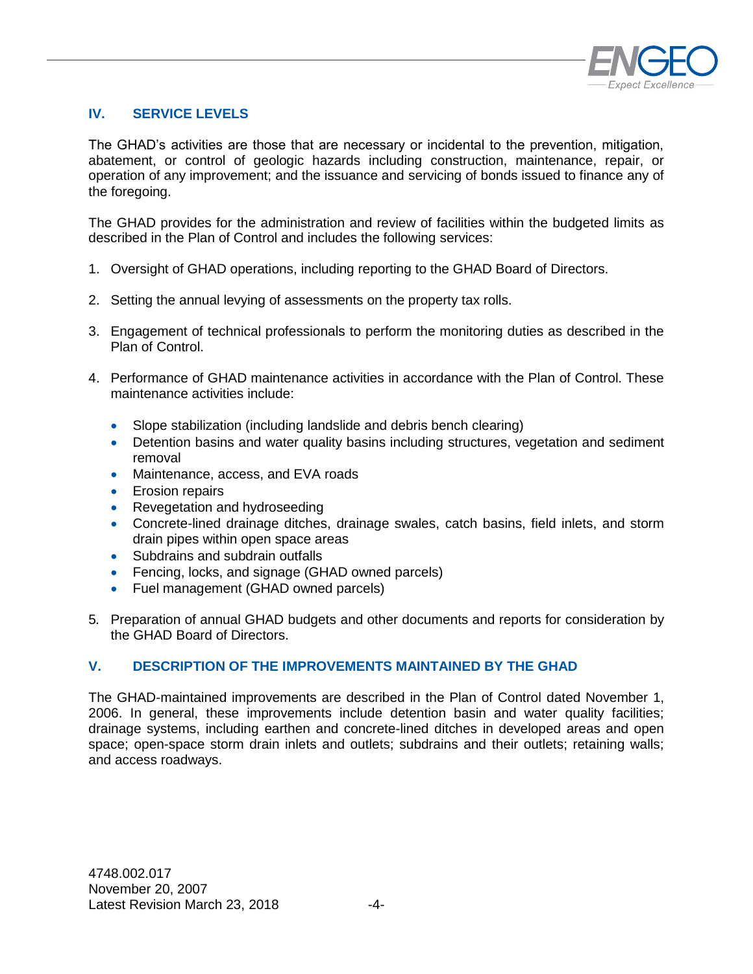

# **IV. SERVICE LEVELS**

The GHAD's activities are those that are necessary or incidental to the prevention, mitigation, abatement, or control of geologic hazards including construction, maintenance, repair, or operation of any improvement; and the issuance and servicing of bonds issued to finance any of the foregoing.

The GHAD provides for the administration and review of facilities within the budgeted limits as described in the Plan of Control and includes the following services:

- 1. Oversight of GHAD operations, including reporting to the GHAD Board of Directors.
- 2. Setting the annual levying of assessments on the property tax rolls.
- 3. Engagement of technical professionals to perform the monitoring duties as described in the Plan of Control.
- 4. Performance of GHAD maintenance activities in accordance with the Plan of Control. These maintenance activities include:
	- Slope stabilization (including landslide and debris bench clearing)
	- Detention basins and water quality basins including structures, vegetation and sediment removal
	- Maintenance, access, and EVA roads
	- **E**rosion repairs
	- Revegetation and hydroseeding
	- Concrete-lined drainage ditches, drainage swales, catch basins, field inlets, and storm drain pipes within open space areas
	- Subdrains and subdrain outfalls
	- Fencing, locks, and signage (GHAD owned parcels)
	- Fuel management (GHAD owned parcels)
- 5*.* Preparation of annual GHAD budgets and other documents and reports for consideration by the GHAD Board of Directors.

#### <span id="page-5-0"></span>**V. DESCRIPTION OF THE IMPROVEMENTS MAINTAINED BY THE GHAD**

<span id="page-5-1"></span>The GHAD-maintained improvements are described in the Plan of Control dated November 1, 2006. In general, these improvements include detention basin and water quality facilities; drainage systems, including earthen and concrete-lined ditches in developed areas and open space; open-space storm drain inlets and outlets; subdrains and their outlets; retaining walls; and access roadways.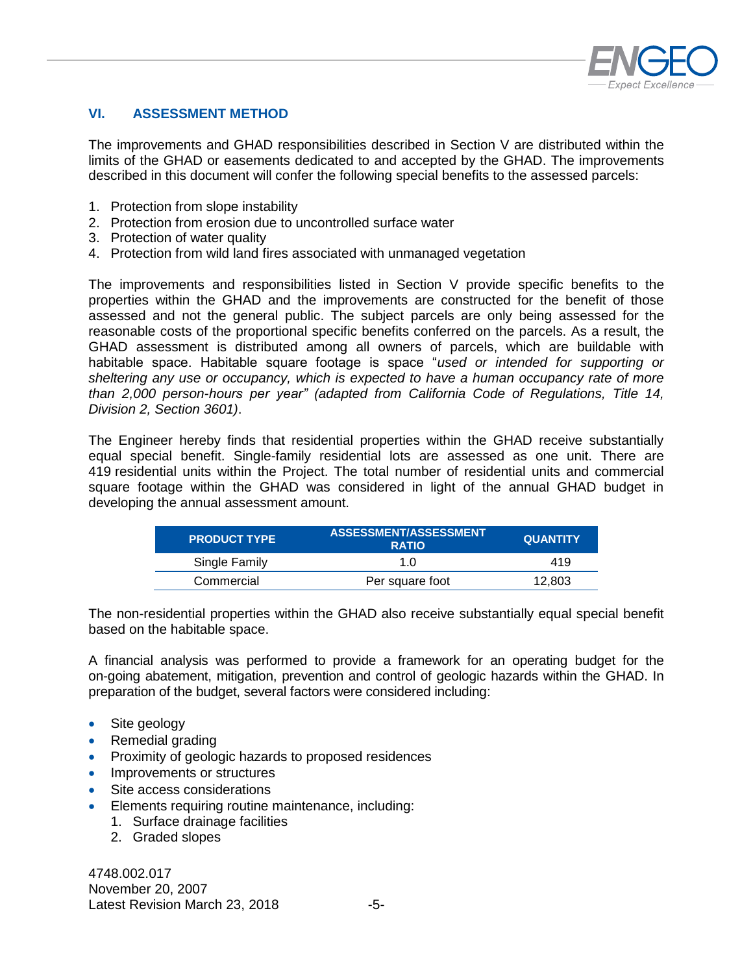

### **VI. ASSESSMENT METHOD**

The improvements and GHAD responsibilities described in Section V are distributed within the limits of the GHAD or easements dedicated to and accepted by the GHAD. The improvements described in this document will confer the following special benefits to the assessed parcels:

- 1. Protection from slope instability
- 2. Protection from erosion due to uncontrolled surface water
- 3. Protection of water quality
- 4. Protection from wild land fires associated with unmanaged vegetation

The improvements and responsibilities listed in Section V provide specific benefits to the properties within the GHAD and the improvements are constructed for the benefit of those assessed and not the general public. The subject parcels are only being assessed for the reasonable costs of the proportional specific benefits conferred on the parcels. As a result, the GHAD assessment is distributed among all owners of parcels, which are buildable with habitable space. Habitable square footage is space "*used or intended for supporting or sheltering any use or occupancy, which is expected to have a human occupancy rate of more than 2,000 person-hours per year" (adapted from California Code of Regulations, Title 14, Division 2, Section 3601)*.

The Engineer hereby finds that residential properties within the GHAD receive substantially equal special benefit. Single-family residential lots are assessed as one unit. There are 419 residential units within the Project. The total number of residential units and commercial square footage within the GHAD was considered in light of the annual GHAD budget in developing the annual assessment amount.

| <b>PRODUCT TYPE</b> | ASSESSMENT/ASSESSMENT<br><b>RATIO</b> | <b>QUANTITY</b> |
|---------------------|---------------------------------------|-----------------|
| Single Family       | 1 N                                   | 419             |
| Commercial          | Per square foot                       | 12.803          |

The non-residential properties within the GHAD also receive substantially equal special benefit based on the habitable space.

A financial analysis was performed to provide a framework for an operating budget for the on-going abatement, mitigation, prevention and control of geologic hazards within the GHAD. In preparation of the budget, several factors were considered including:

- Site geology
- Remedial grading
- Proximity of geologic hazards to proposed residences
- Improvements or structures
- Site access considerations
- Elements requiring routine maintenance, including:
	- 1. Surface drainage facilities
	- 2. Graded slopes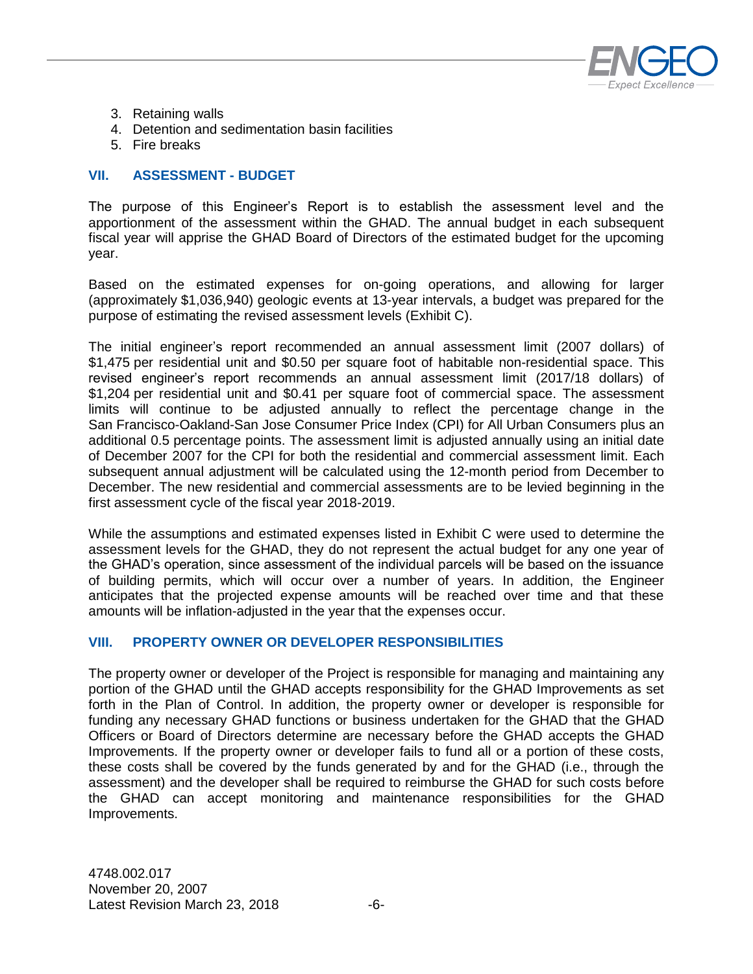

- 3. Retaining walls
- 4. Detention and sedimentation basin facilities
- 5. Fire breaks

#### <span id="page-7-0"></span>**VII. ASSESSMENT - BUDGET**

The purpose of this Engineer's Report is to establish the assessment level and the apportionment of the assessment within the GHAD. The annual budget in each subsequent fiscal year will apprise the GHAD Board of Directors of the estimated budget for the upcoming year.

Based on the estimated expenses for on-going operations, and allowing for larger (approximately \$1,036,940) geologic events at 13-year intervals, a budget was prepared for the purpose of estimating the revised assessment levels (Exhibit C).

The initial engineer's report recommended an annual assessment limit (2007 dollars) of \$1,475 per residential unit and \$0.50 per square foot of habitable non-residential space. This revised engineer's report recommends an annual assessment limit (2017/18 dollars) of \$1,204 per residential unit and \$0.41 per square foot of commercial space. The assessment limits will continue to be adjusted annually to reflect the percentage change in the San Francisco-Oakland-San Jose Consumer Price Index (CPI) for All Urban Consumers plus an additional 0.5 percentage points. The assessment limit is adjusted annually using an initial date of December 2007 for the CPI for both the residential and commercial assessment limit. Each subsequent annual adjustment will be calculated using the 12-month period from December to December. The new residential and commercial assessments are to be levied beginning in the first assessment cycle of the fiscal year 2018-2019.

While the assumptions and estimated expenses listed in Exhibit C were used to determine the assessment levels for the GHAD, they do not represent the actual budget for any one year of the GHAD's operation, since assessment of the individual parcels will be based on the issuance of building permits, which will occur over a number of years. In addition, the Engineer anticipates that the projected expense amounts will be reached over time and that these amounts will be inflation-adjusted in the year that the expenses occur.

#### <span id="page-7-1"></span>**VIII. PROPERTY OWNER OR DEVELOPER RESPONSIBILITIES**

The property owner or developer of the Project is responsible for managing and maintaining any portion of the GHAD until the GHAD accepts responsibility for the GHAD Improvements as set forth in the Plan of Control. In addition, the property owner or developer is responsible for funding any necessary GHAD functions or business undertaken for the GHAD that the GHAD Officers or Board of Directors determine are necessary before the GHAD accepts the GHAD Improvements. If the property owner or developer fails to fund all or a portion of these costs, these costs shall be covered by the funds generated by and for the GHAD (i.e., through the assessment) and the developer shall be required to reimburse the GHAD for such costs before the GHAD can accept monitoring and maintenance responsibilities for the GHAD Improvements.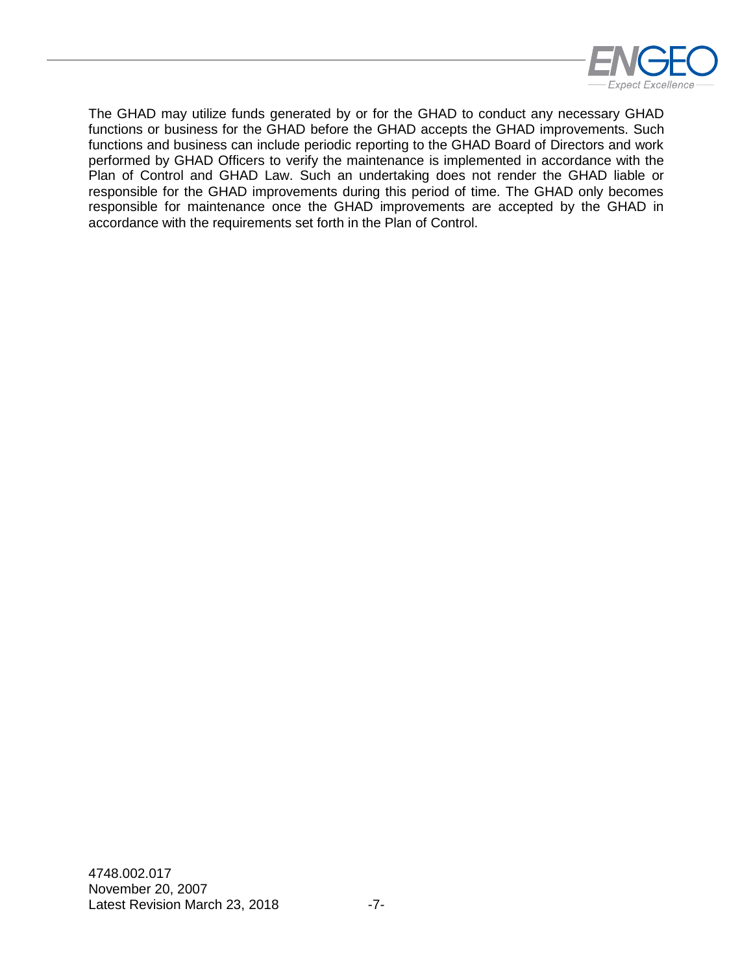

The GHAD may utilize funds generated by or for the GHAD to conduct any necessary GHAD functions or business for the GHAD before the GHAD accepts the GHAD improvements. Such functions and business can include periodic reporting to the GHAD Board of Directors and work performed by GHAD Officers to verify the maintenance is implemented in accordance with the Plan of Control and GHAD Law. Such an undertaking does not render the GHAD liable or responsible for the GHAD improvements during this period of time. The GHAD only becomes responsible for maintenance once the GHAD improvements are accepted by the GHAD in accordance with the requirements set forth in the Plan of Control.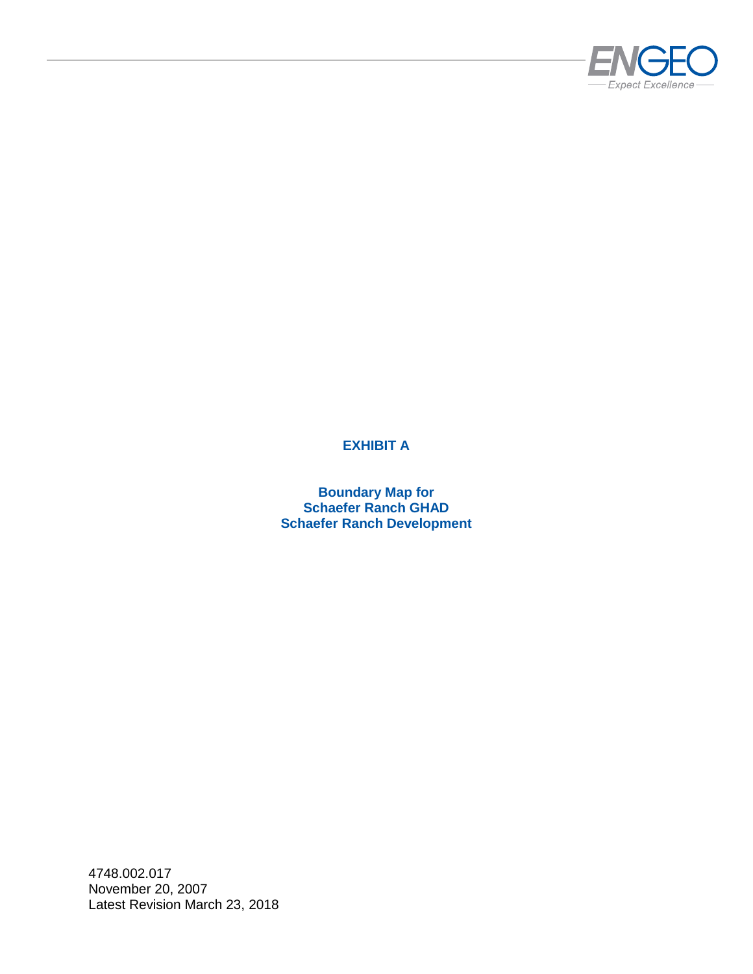

# **EXHIBIT A**

**Boundary Map for Schaefer Ranch GHAD Schaefer Ranch Development**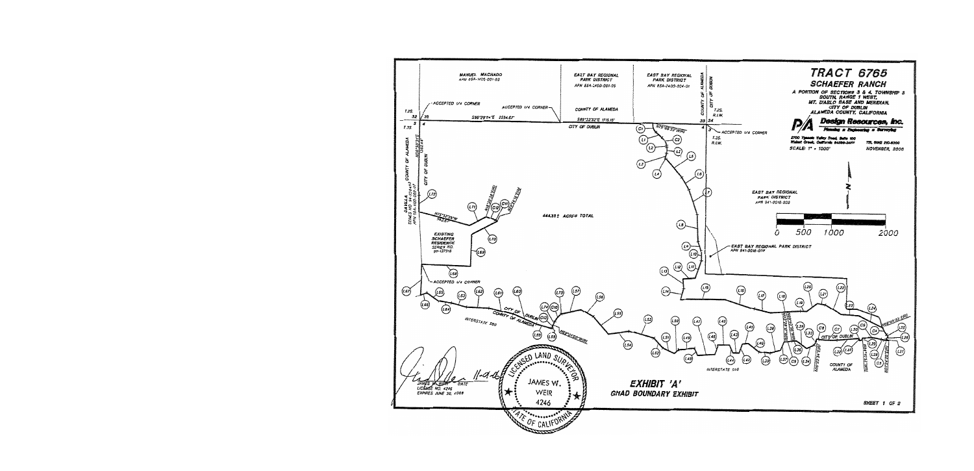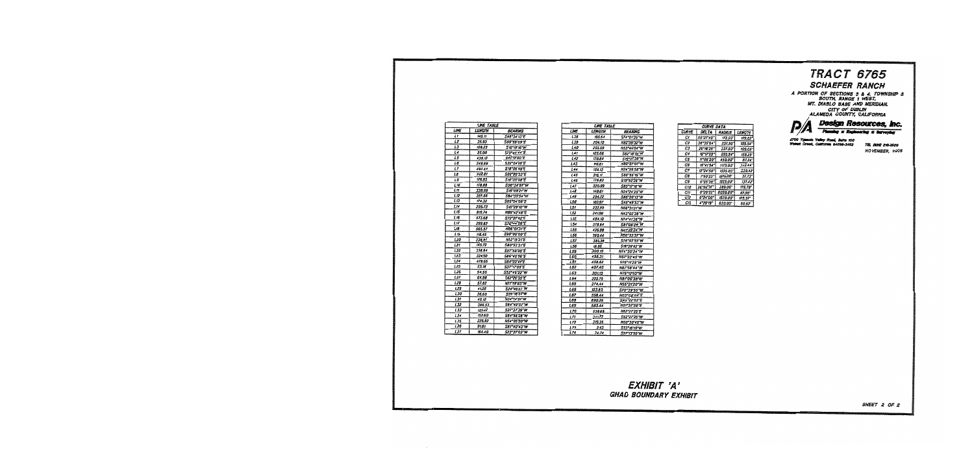# **TRACT 6765 SCHAEFER RANCH**

A PORTION OF SECTIONS 3 & 4, TOWNSHIP 3<br>
MT. DIABLO BASE AND MERIDIAN.<br>
MT. DIABLO BASE AND MERIDIAN.<br>
CITY OF DUBLIN<br>
ALAMEDA COUNTY, CALIFORNIA



2700 Y Yalkey Road, Buite 100<br>California 84598-3482  $\overline{\phantom{a}}$ 

TEL MAG EXPANSO **HOVEMBER, 2008** 

|                 | LNE TABLE            |                           |
|-----------------|----------------------|---------------------------|
| LINE            | <i><b>LENGTH</b></i> | <b>BEARING</b>            |
| Lt              | 145.17               | 548°J4'13"E               |
| 12              | 35.93                | S09"59'09"E               |
| LJ              | 108.23               | <b>S15*19'15*W</b>        |
| u               | 25.00                | <b>S73°40'44'E</b>        |
| L5              | 438.12               | <b>SATISOOT</b>           |
| L6              | 249.89               | <b>S32°04'20'E</b>        |
| 17              | 497.44               | 518°05'49'E               |
| LB              | 502.8t               | <b>S02'20'JJ'E</b>        |
| L9              | 175.93               | <b>S16°35'08"E</b>        |
| L 10            | 178.88               | <b>SOU'35'O7"W</b>        |
| L 51            | 338.98               | <b>S19'09'21'W</b>        |
| 112             | 227.55               | 584°55'54"W               |
| LIJ             | 174.32               | <i><b>SOS*D4"08"E</b></i> |
| とりよ             | 205.73               | <b>SI5°29'10"W</b>        |
| L 15            | 816.74               | N39°42'48"E               |
| L 15            | 573.68               | <b>ST2"27'42'E</b>        |
| $\overline{11}$ | 299.82               | <b>S76°44'06'E</b>        |
| L 18            | 565.57               | <i><b>MAG'OFJI'E</b></i>  |
| 119             | 118.45               | 590°00'00'E               |
| 120             | 238.81               | <b>NS2*IS2rE</b>          |
| 121             | 145.72               | <b>S&amp;O*23'3:"E</b>    |
| L22             | <b>JJ&amp;94</b>     | SS7"59'05"E               |
| 173             | 324.50               | <i><b>SB6*40'S6"E</b></i> |
| 124             | 479.65               | <b>S64'21'4rE</b>         |
| L25             | 53.18                | SJI*IT05E                 |
| L26             | 54.55                | 552*46'22"W               |
| 127             | 64.98                | S62°26'35'E               |
| 1.75            | 57.82                | <b>N77'79'03'W</b>        |
| <b>L29</b>      | 4125                 | <b>524°46'42"W</b>        |
| <b>LJ0</b>      | 36.60                | <b>S79°18'27"W</b>        |
| LI1             | 45.12                | 1234°14°51°14             |
| 132             | <b>J86.53</b>        | 584°49'07°W               |
| L33             | 122.22               | 527°37°39°14              |
| 134             | 152.60               | S64"56'23"W               |
| L35             | 225.92               | <b>NS4°05'20"W</b>        |
| 136             | 9181                 | <b>SAT'40'43'W</b>        |
| 137             | 164.40               | <b>S23°37'03"W</b>        |

| <b>LINE TABLE</b> |              |                    |  |  |  |
|-------------------|--------------|--------------------|--|--|--|
| LINE              | LENGTH       | <b>BEARING</b>     |  |  |  |
| 138               | 195.64       | 574°01'35"W        |  |  |  |
| L39               | 204.10       | <b>H82"39"32"W</b> |  |  |  |
| 140               | 255.59       | N53°44'04"W        |  |  |  |
| Let               | 105.06       | 582"18"54"W        |  |  |  |
| 142               | 110.84       | S19"STJ8"W         |  |  |  |
| 143               | 115.61       | N99'27'07"W        |  |  |  |
| 144               | 154.ET       | N24*59'58"W        |  |  |  |
| 145               | 215.17       | <b>SBB*55"15"W</b> |  |  |  |
| 146               | 178.82       | S19°52'76"W        |  |  |  |
| 147               | 320.99       | 585*17*16*14       |  |  |  |
| 148               | 140.61       | N24*26*25*W        |  |  |  |
| L 49              | 294.72       | 586°20'13°W        |  |  |  |
| 150               | 102.97       | <b>SIA 1953 W</b>  |  |  |  |
| LST               | 232.99       | N66°3121°W         |  |  |  |
| L52               | 24195        | N43°02'38"W        |  |  |  |
| L 53              | 484.10       | <b>N74°41'36"W</b> |  |  |  |
| 154               | 378.64       | 581°08′09°W        |  |  |  |
| L55               | 425.98       | N41°39'34"W        |  |  |  |
| L55               | 250.44       | <b>NEO*33'37"W</b> |  |  |  |
| 157               | 380.38       | 518'03'55"W        |  |  |  |
| 158               | <b>18.85</b> | <b>S18"29"42"W</b> |  |  |  |
| 159               | 300.19       | N74*30'24"W        |  |  |  |
| L60               | 458.31       | N57°22′45″W        |  |  |  |
| LBI               | 450.62       | <b>N76*1125~W</b>  |  |  |  |
| 152               | 407.40       | <i>N87°58°44°W</i> |  |  |  |
| 163               | 30 L 13      | <b>N76*12'50"W</b> |  |  |  |
| L 64              | 222.75       | <b>N81°06'38"W</b> |  |  |  |
| <b>L65</b>        | 274.44       | NSS*21*20*W        |  |  |  |
| L 68              | 123.83       | <b>S70"39"55"W</b> |  |  |  |
| <b>L67</b>        | 558.44       | NOJ*OS*Q4*E        |  |  |  |
| Lea               | 890.26       | <b>S88*72'02'E</b> |  |  |  |
| <b>L69</b>        | 583.44       | <b>NOT3758E</b>    |  |  |  |
| <b>LTD</b>        | 539.69       | N62*21*25*E        |  |  |  |
| ιn                | 34172        | 562°27°25°W        |  |  |  |
| LT2               | 319.35       | N00'30'45"W        |  |  |  |
| 173               | 243          | 553*15*10*1V       |  |  |  |
| 174               | 14.74        | 527°13°56°W        |  |  |  |

| DELTA<br>CURVE<br><b>LENGTH</b><br><b>RADIUS</b><br>Cſ<br>59*27*40<br>92.50<br>179.02<br>C2<br>38"35"04"<br>237.50<br>159.94<br>ده<br>25*1875<br>237.50*<br>199.05<br>Сł<br>15*17*59*<br>559.94<br>159.29 |
|-----------------------------------------------------------------------------------------------------------------------------------------------------------------------------------------------------------|
|                                                                                                                                                                                                           |
|                                                                                                                                                                                                           |
|                                                                                                                                                                                                           |
|                                                                                                                                                                                                           |
|                                                                                                                                                                                                           |
| CS<br>11'05'30<br>450.00°<br>81.24                                                                                                                                                                        |
| C5<br>16'41'54'<br><b>H75.00</b><br>362.44                                                                                                                                                                |
| C7<br>12"24"50"<br>1525.00*<br>330.42                                                                                                                                                                     |
| CЗ<br>1"50'23<br>1175.00"<br>37.73                                                                                                                                                                        |
| C9<br>6"25"39<br>1225.00<br>137.42                                                                                                                                                                        |
| C10<br>26"02"14"<br>389.00*<br>175.78"                                                                                                                                                                    |
| CĦ<br>0'20'22<br>8030.00*<br>47.55*                                                                                                                                                                       |
| C12<br>6"24"00"<br>1570.00<br>175.37°                                                                                                                                                                     |
| C13<br>4"29"19<br>650.00<br>50.92                                                                                                                                                                         |

CURVE DATA

#### EXHIBIT 'A' GHAD BOUNDARY EXHIBIT

SHEET 2 OF 2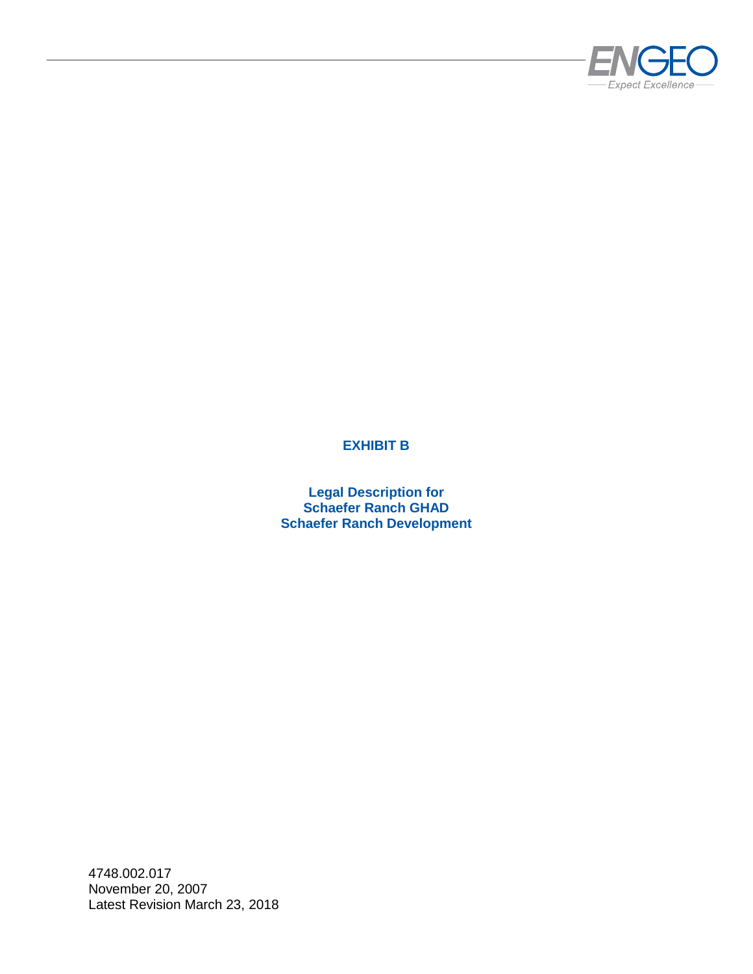

# **EXHIBIT B**

**Legal Description for Schaefer Ranch GHAD Schaefer Ranch Development**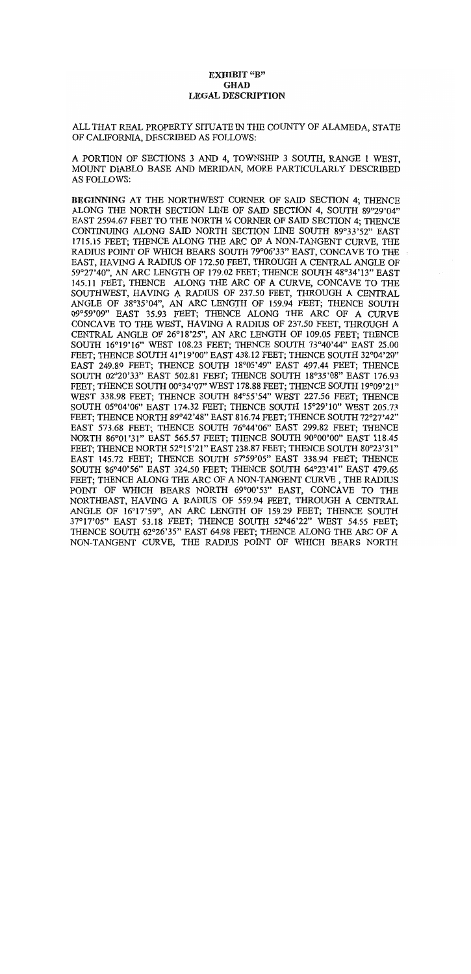#### **EXHIBIT "B" GHAD LEGAL DESCRIPTION**

#### ALL THAT REAL PROPERTY SITUATE IN THE COUNTY OF ALAMEDA, STATE OF CALIFORNIA, DESCRIBED AS FOLLOWS:

A PORTION OF SECTIONS 3 AND 4, TOWNSHIP 3 SOUTH, RANGE 1 WEST. MOUNT DIABLO BASE AND MERIDAN, MORE PARTICULARLY DESCRIBED **AS FOLLOWS:** 

BEGINNING AT THE NORTHWEST CORNER OF SAID SECTION 4; THENCE ALONG THE NORTH SECTION LINE OF SAID SECTION 4, SOUTH 89°29'04" EAST 2594.67 FEET TO THE NORTH ¼ CORNER OF SAID SECTION 4: THENCE CONTINUING ALONG SAID NORTH SECTION LINE SOUTH 89°33'52" EAST 1715.15 FEET; THENCE ALONG THE ARC OF A NON-TANGENT CURVE. THE RADIUS POINT OF WHICH BEARS SOUTH 79°06'33" EAST, CONCAVE TO THE EAST, HAVING A RADIUS OF 172.50 FEET, THROUGH A CENTRAL ANGLE OF 59°27'40". AN ARC LENGTH OF 179.02 FEET; THENCE SOUTH 48°34'13" EAST 145.11 FEET: THENCE ALONG THE ARC OF A CURVE, CONCAVE TO THE SOUTHWEST, HAVING A RADIUS OF 237.50 FEET, THROUGH A CENTRAL ANGLE OF 38°35'04", AN ARC LENGTH OF 159.94 FEET; THENCE SOUTH 09°59'09" EAST 35.93 FEET: THENCE ALONG THE ARC OF A CURVE CONCAVE TO THE WEST, HAVING A RADIUS OF 237.50 FEET, THROUGH A CENTRAL ANGLE OF 26°18'25", AN ARC LENGTH OF 109.05 FEET; THENCE SOUTH 16°19'16" WEST 108.23 FEET; THENCE SOUTH 73°40'44" EAST 25.00 FEET; THENCE SOUTH 41°19'00" EAST 438.12 FEET; THENCE SOUTH 32°04'20" EAST 249.89 FEET; THENCE SOUTH 18°05'49" EAST 497.44 FEET; THENCE SOUTH 02°20'33" EAST 502.81 FEET; THENCE SOUTH 18°35'08" EAST 176.93 FEET: THENCE SOUTH 00°34'07" WEST 178.88 FEET; THENCE SOUTH 19°09'21" WEST 338.98 FEET: THENCE SOUTH 84°55'54" WEST 227.56 FEET: THENCE SOUTH 05°04'06" EAST 174.32 FEET: THENCE SOUTH 15°29'10" WEST 205.73 FEET: THENCE NORTH 89°42'48" EAST 816.74 FEET; THENCE SOUTH 72°27'42" EAST 573.68 FEET: THENCE SOUTH 76°44'06" EAST 299.82 FEET: THENCE NORTH 86°01'31" EAST 565.57 FEET; THENCE SOUTH 90°00'00" EAST 118.45 FEET: THENCE NORTH 52°15'21" EAST 238.87 FEET: THENCE SOUTH 80°23'31" EAST 145.72 FEET; THENCE SOUTH 57°59'05" EAST 338.94 FEET: THENCE SOUTH 86°40'56" EAST 324.50 FEET; THENCE SOUTH 64°23'41" EAST 479.65 FEET: THENCE ALONG THE ARC OF A NON-TANGENT CURVE, THE RADIUS POINT OF WHICH BEARS NORTH 69°00'53" EAST, CONCAVE TO THE NORTHEAST, HAVING A RADIUS OF 559.94 FEET, THROUGH A CENTRAL ANGLE OF 16°17'59", AN ARC LENGTH OF 159.29 FEET; THENCE SOUTH 37°17'05" EAST 53.18 FEET: THENCE SOUTH 52°46'22" WEST 54.55 FEET: THENCE SOUTH 62°26'35" EAST 64.98 FEET; THENCE ALONG THE ARC OF A NON-TANGENT CURVE, THE RADIUS POINT OF WHICH BEARS NORTH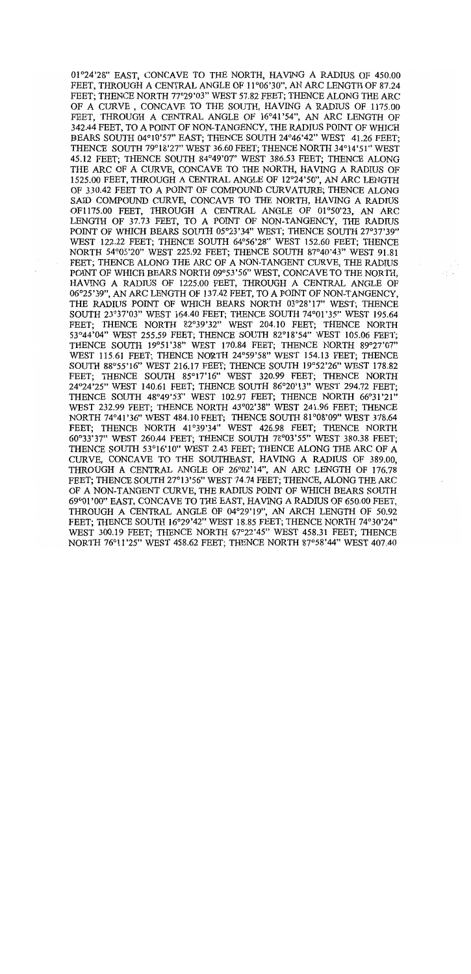01°24'28" EAST, CONCAVE TO THE NORTH, HAVING A RADIUS OF 450.00 FEET, THROUGH A CENTRAL ANGLE OF 11°06'30", AN ARC LENGTH OF 87.24 FEET; THENCE NORTH 77°29'03" WEST 57.82 FEET; THENCE ALONG THE ARC OF A CURVE, CONCAVE TO THE SOUTH, HAVING A RADIUS OF 1175.00 FEET, THROUGH A CENTRAL ANGLE OF 16°41'54", AN ARC LENGTH OF 342.44 FEET, TO A POINT OF NON-TANGENCY, THE RADIUS POINT OF WHICH BEARS SOUTH 04°10'57" EAST; THENCE SOUTH 24°46'42" WEST 41.26 FEET; THENCE SOUTH 79°18'27" WEST 36.60 FEET; THENCE NORTH 34°14'51" WEST 45.12 FEET; THENCE SOUTH 84°49'07" WEST 386.53 FEET; THENCE ALONG THE ARC OF A CURVE, CONCAVE TO THE NORTH, HAVING A RADIUS OF 1525.00 FEET, THROUGH A CENTRAL ANGLE OF 12°24'50", AN ARC LENGTH OF 330.42 FEET TO A POINT OF COMPOUND CURVATURE; THENCE ALONG SAID COMPOUND CURVE, CONCAVE TO THE NORTH, HAVING A RADIUS OF1175.00 FEET, THROUGH A CENTRAL ANGLE OF 01°50'23, AN ARC LENGTH OF 37.73 FEET, TO A POINT OF NON-TANGENCY, THE RADIUS POINT OF WHICH BEARS SOUTH 05°23'34" WEST; THENCE SOUTH 27°37'39" WEST 122.22 FEET; THENCE SOUTH 64°56'28" WEST 152.60 FEET; THENCE NORTH 54°05'20" WEST 225.92 FEET; THENCE SOUTH 87°40'43" WEST 91.81 FEET: THENCE ALONG THE ARC OF A NON-TANGENT CURVE. THE RADIUS POINT OF WHICH BEARS NORTH 09°53'56" WEST, CONCAVE TO THE NORTH, HAVING A RADIUS OF 1225.00 FEET, THROUGH A CENTRAL ANGLE OF 06°25'39", AN ARC LENGTH OF 137.42 FEET, TO A POINT OF NON-TANGENCY, THE RADIUS POINT OF WHICH BEARS NORTH 03°28'17" WEST: THENCE SOUTH 23°37'03" WEST 164.40 FEET; THENCE SOUTH 74°01'35" WEST 195.64 FEET: THENCE NORTH 82°39'32" WEST 204.10 FEET: THENCE NORTH 53°44'04" WEST 255.59 FEET; THENCE SOUTH 82°18'54" WEST 105.06 FEET; THENCE SOUTH 19°51'38" WEST 170.84 FEET; THENCE NORTH 89°27'07" WEST 115.61 FEET; THENCE NORTH 24°59'58" WEST 154.13 FEET; THENCE SOUTH 88°55'16" WEST 216.17 FEET: THENCE SOUTH 19°52'26" WEST 178.82 FEET; THENCE SOUTH 85°17'16" WEST 320.99 FEET; THENCE NORTH 24°24'25" WEST 140.61 FEET; THENCE SOUTH 86°20'13" WEST 294.72 FEET; THENCE SOUTH 48°49'53" WEST 102.97 FEET: THENCE NORTH 66°31'21" WEST 232.99 FEET; THENCE NORTH 43°02'38" WEST 241.96 FEET; THENCE NORTH 74°41'36" WEST 484.10 FEET: THENCE SOUTH 81°08'09" WEST 378.64 FEET: THENCE NORTH 41°39'34" WEST 426.98 FEET; THENCE NORTH 60°33'37" WEST 260.44 FEET; THENCE SOUTH 78°03'55" WEST 380.38 FEET; THENCE SOUTH 53°16'10" WEST 2.43 FEET; THENCE ALONG THE ARC OF A CURVE, CONCAVE TO THE SOUTHEAST, HAVING A RADIUS OF 389.00. THROUGH A CENTRAL ANGLE OF 26°02'14", AN ARC LENGTH OF 176.78 FEET: THENCE SOUTH 27°13'56" WEST 74.74 FEET; THENCE, ALONG THE ARC OF A NON-TANGENT CURVE. THE RADIUS POINT OF WHICH BEARS SOUTH 69°01'00" EAST, CONCAVE TO THE EAST, HAVING A RADIUS OF 650.00 FEET. THROUGH A CENTRAL ANGLE OF 04°29'19", AN ARCH LENGTH OF 50.92 FEET; THENCE SOUTH 16°29'42" WEST 18.85 FEET; THENCE NORTH 74°30'24" WEST 300.19 FEET; THENCE NORTH 67°22'45" WEST 458.31 FEET; THENCE NORTH 76°11'25" WEST 458.62 FEET; THENCE NORTH 87°58'44" WEST 407.40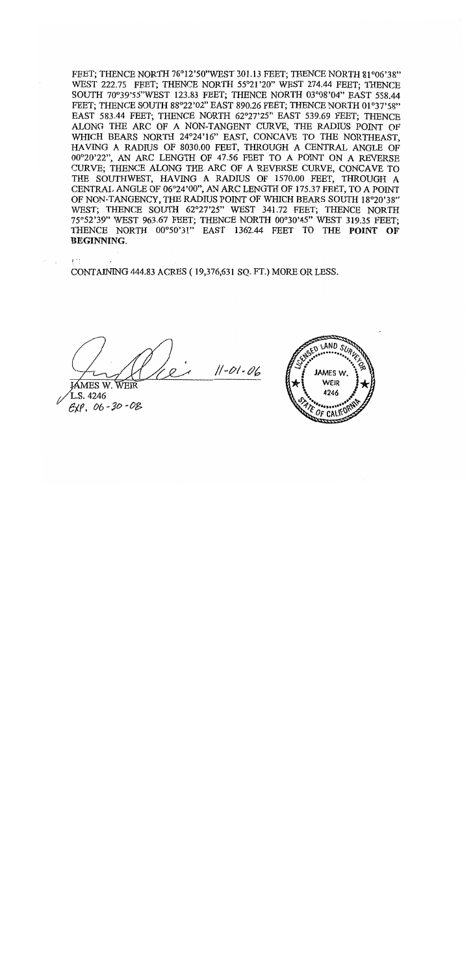FEET; THENCE NORTH 76°12'50"WEST 301.13 FEET; THENCE NORTH 81°06'38" WEST 222.75 FEET; THENCE NORTH 55°21'20" WEST 274.44 FEET; THENCE SOUTH 70°39'55"WEST 123.83 FEET; THENCE NORTH 03°08'04" EAST 558.44 FEET; THENCE SOUTH 88°22'02" EAST 890.26 FEET; THENCE NORTH 01°37'58" EAST 583.44 FEET: THENCE NORTH 62°27'25" EAST 539.69 FEET: THENCE ALONG THE ARC OF A NON-TANGENT CURVE, THE RADIUS POINT OF WHICH BEARS NORTH 24°24'16" EAST, CONCAVE TO THE NORTHEAST, HAVING A RADIUS OF 8030.00 FEET, THROUGH A CENTRAL ANGLE OF 00°20'22", AN ARC LENGTH OF 47.56 FEET TO A POINT ON A REVERSE CURVE; THENCE ALONG THE ARC OF A REVERSE CURVE, CONCAVE TO THE SOUTHWEST, HAVING A RADIUS OF 1570.00 FEET, THROUGH A CENTRAL ANGLE OF 06°24'00", AN ARC LENGTH OF 175.37 FEET, TO A POINT OF NON-TANGENCY, THE RADIUS POINT OF WHICH BEARS SOUTH 18°20'38" WEST: THENCE SOUTH 62°27'25" WEST 341.72 FEET; THENCE NORTH 75°52'39" WEST 963.67 FEET; THENCE NORTH 00°30'45" WEST 319.35 FEET; THENCE NORTH 00°50'31" EAST 1362.44 FEET TO THE POINT OF **BEGINNING.** 

CONTAINING 444.83 ACRES (19,376,631 SQ. FT.) MORE OR LESS.

 $11 - 01 - 06$ 

MES W. WEIR L.S. 4246  $EXP, 06 - 30 - 08$ 

不好!

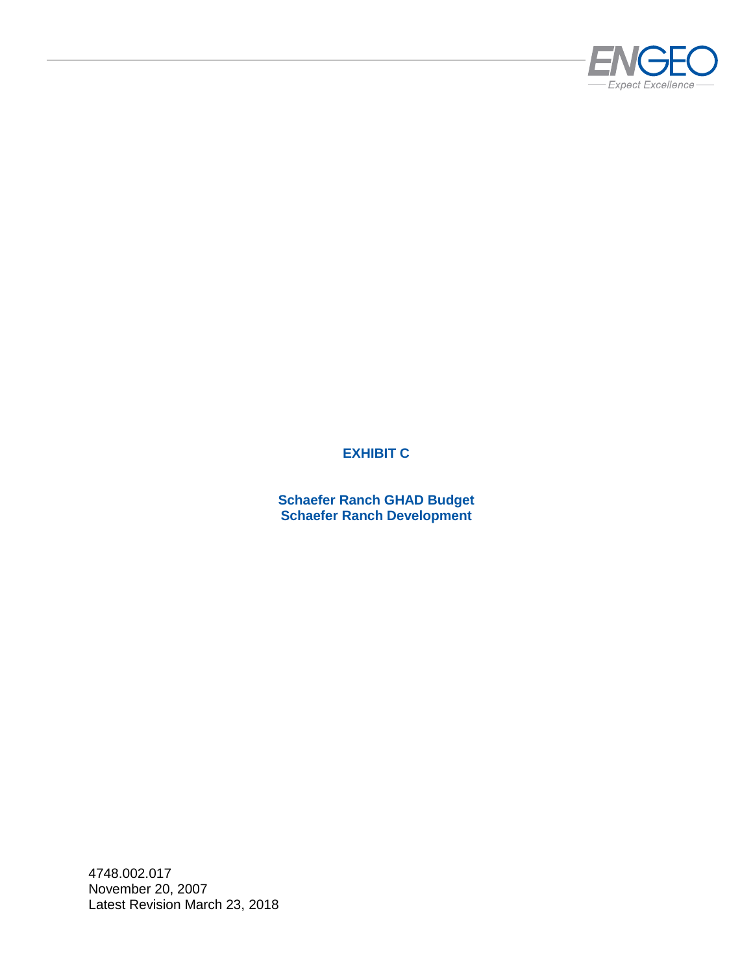

# **EXHIBIT C**

**Schaefer Ranch GHAD Budget Schaefer Ranch Development**